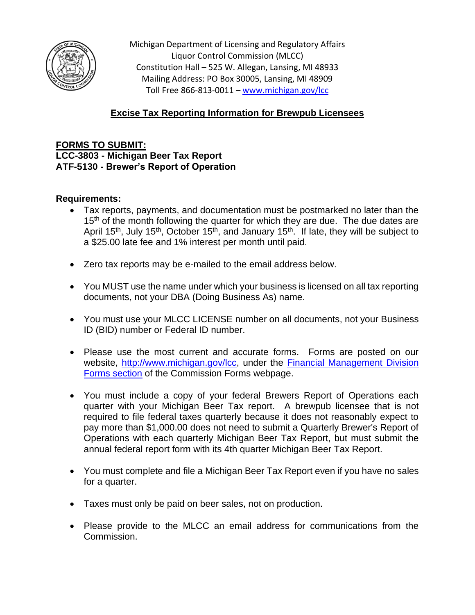

Michigan Department of Licensing and Regulatory Affairs Liquor Control Commission (MLCC) Constitution Hall – 525 W. Allegan, Lansing, MI 48933 Mailing Address: PO Box 30005, Lansing, MI 48909 Toll Free 866-813-0011 – [www.michigan.gov/lcc](http://www.michigan.gov/lcc)

## **Excise Tax Reporting Information for Brewpub Licensees**

**FORMS TO SUBMIT: LCC-3803 - Michigan Beer Tax Report ATF-5130 - Brewer's Report of Operation**

## **Requirements:**

- Tax reports, payments, and documentation must be postmarked no later than the 15<sup>th</sup> of the month following the quarter for which they are due. The due dates are April 15<sup>th</sup>, July 15<sup>th</sup>, October 15<sup>th</sup>, and January 15<sup>th</sup>. If late, they will be subject to a \$25.00 late fee and 1% interest per month until paid.
- Zero tax reports may be e-mailed to the email address below.
- You MUST use the name under which your business is licensed on all tax reporting documents, not your DBA (Doing Business As) name.
- You must use your MLCC LICENSE number on all documents, not your Business ID (BID) number or Federal ID number.
- Please use the most current and accurate forms. Forms are posted on our website, [http://www.michigan.gov/lcc,](http://www.michigan.gov/lcc) under the [Financial Management Division](https://www.michigan.gov/lara/bureau-list/lcc/commission-forms/mlcc-tax-forms)  [Forms section](https://www.michigan.gov/lara/bureau-list/lcc/commission-forms/mlcc-tax-forms) of the Commission Forms webpage.
- You must include a copy of your federal Brewers Report of Operations each quarter with your Michigan Beer Tax report. A brewpub licensee that is not required to file federal taxes quarterly because it does not reasonably expect to pay more than \$1,000.00 does not need to submit a Quarterly Brewer's Report of Operations with each quarterly Michigan Beer Tax Report, but must submit the annual federal report form with its 4th quarter Michigan Beer Tax Report.
- You must complete and file a Michigan Beer Tax Report even if you have no sales for a quarter.
- Taxes must only be paid on beer sales, not on production.
- Please provide to the MLCC an email address for communications from the Commission.